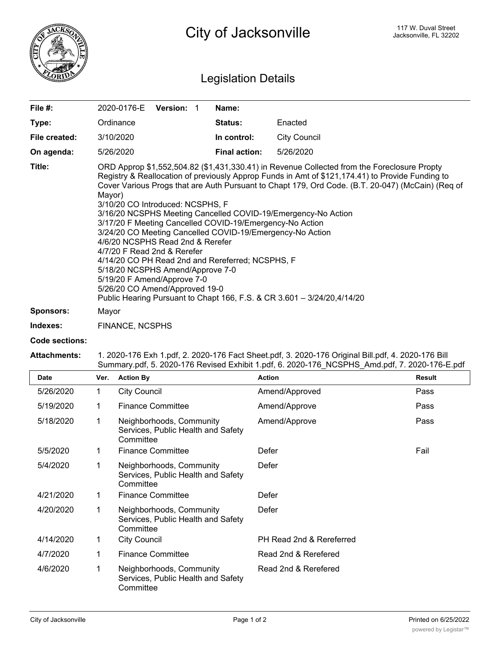

## Legislation Details

| File $#$ :       | <b>Version: 1</b><br>2020-0176-E                                                                                                                                                                                                                                                                                                                                                                                                                                                                                                                                                                                                                                                                                                                                                                                                                    | Name:                |                     |  |  |
|------------------|-----------------------------------------------------------------------------------------------------------------------------------------------------------------------------------------------------------------------------------------------------------------------------------------------------------------------------------------------------------------------------------------------------------------------------------------------------------------------------------------------------------------------------------------------------------------------------------------------------------------------------------------------------------------------------------------------------------------------------------------------------------------------------------------------------------------------------------------------------|----------------------|---------------------|--|--|
| Type:            | Ordinance                                                                                                                                                                                                                                                                                                                                                                                                                                                                                                                                                                                                                                                                                                                                                                                                                                           | <b>Status:</b>       | Enacted             |  |  |
| File created:    | 3/10/2020                                                                                                                                                                                                                                                                                                                                                                                                                                                                                                                                                                                                                                                                                                                                                                                                                                           | In control:          | <b>City Council</b> |  |  |
| On agenda:       | 5/26/2020                                                                                                                                                                                                                                                                                                                                                                                                                                                                                                                                                                                                                                                                                                                                                                                                                                           | <b>Final action:</b> | 5/26/2020           |  |  |
| Title:           | ORD Approp \$1,552,504.82 (\$1,431,330.41) in Revenue Collected from the Foreclosure Propty<br>Registry & Reallocation of previously Approp Funds in Amt of \$121,174.41) to Provide Funding to<br>Cover Various Progs that are Auth Pursuant to Chapt 179, Ord Code. (B.T. 20-047) (McCain) (Req of<br>Mayor)<br>3/10/20 CO Introduced: NCSPHS, F<br>3/16/20 NCSPHS Meeting Cancelled COVID-19/Emergency-No Action<br>3/17/20 F Meeting Cancelled COVID-19/Emergency-No Action<br>3/24/20 CO Meeting Cancelled COVID-19/Emergency-No Action<br>4/6/20 NCSPHS Read 2nd & Rerefer<br>4/7/20 F Read 2nd & Rerefer<br>4/14/20 CO PH Read 2nd and Rereferred; NCSPHS, F<br>5/18/20 NCSPHS Amend/Approve 7-0<br>5/19/20 F Amend/Approve 7-0<br>5/26/20 CO Amend/Approved 19-0<br>Public Hearing Pursuant to Chapt 166, F.S. & CR 3.601 - 3/24/20,4/14/20 |                      |                     |  |  |
| <b>Sponsors:</b> | Mayor                                                                                                                                                                                                                                                                                                                                                                                                                                                                                                                                                                                                                                                                                                                                                                                                                                               |                      |                     |  |  |
| Indexes:         | <b>FINANCE, NCSPHS</b>                                                                                                                                                                                                                                                                                                                                                                                                                                                                                                                                                                                                                                                                                                                                                                                                                              |                      |                     |  |  |

## **Code sections:**

## **Attachments:** 1. 2020-176 Exh 1.pdf, 2. 2020-176 Fact Sheet.pdf, 3. 2020-176 Original Bill.pdf, 4. 2020-176 Bill Summary.pdf, 5. 2020-176 Revised Exhibit 1.pdf, 6. 2020-176\_NCSPHS\_Amd.pdf, 7. 2020-176-E.pdf

| <b>Date</b> | Ver. | <b>Action By</b>                                                            | <b>Action</b>            | <b>Result</b> |
|-------------|------|-----------------------------------------------------------------------------|--------------------------|---------------|
| 5/26/2020   | 1    | <b>City Council</b>                                                         | Amend/Approved           | Pass          |
| 5/19/2020   |      | <b>Finance Committee</b>                                                    | Amend/Approve            | Pass          |
| 5/18/2020   | 1    | Neighborhoods, Community<br>Services, Public Health and Safety<br>Committee | Amend/Approve            | Pass          |
| 5/5/2020    |      | <b>Finance Committee</b>                                                    | Defer                    | Fail          |
| 5/4/2020    |      | Neighborhoods, Community<br>Services, Public Health and Safety<br>Committee | Defer                    |               |
| 4/21/2020   |      | <b>Finance Committee</b>                                                    | Defer                    |               |
| 4/20/2020   | 1    | Neighborhoods, Community<br>Services, Public Health and Safety<br>Committee | Defer                    |               |
| 4/14/2020   | 1    | <b>City Council</b>                                                         | PH Read 2nd & Rereferred |               |
| 4/7/2020    |      | <b>Finance Committee</b>                                                    | Read 2nd & Rerefered     |               |
| 4/6/2020    | 1    | Neighborhoods, Community<br>Services, Public Health and Safety<br>Committee | Read 2nd & Rerefered     |               |